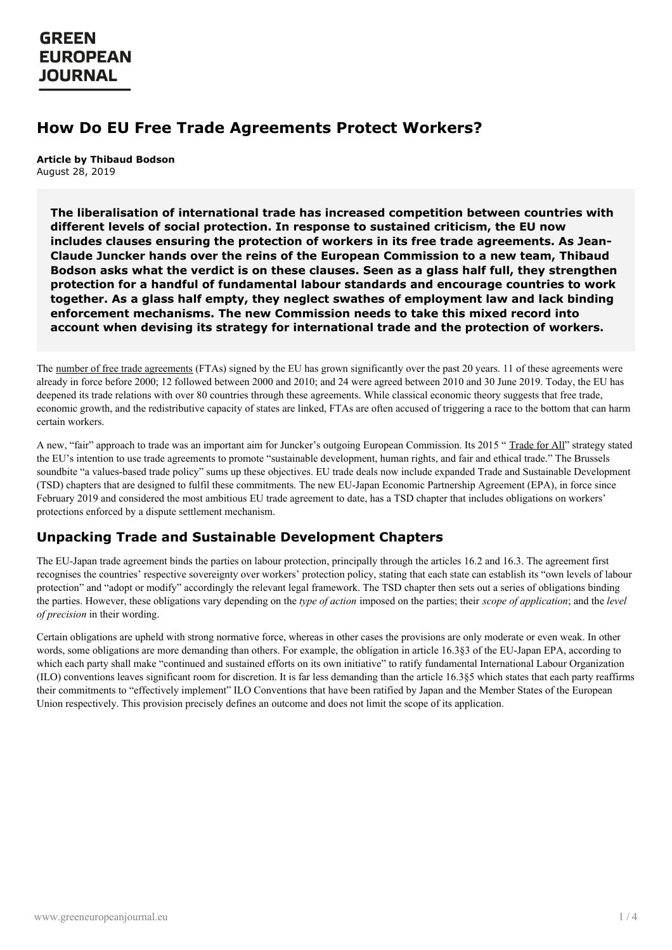### **How Do EU Free Trade Agreements Protect Workers?**

**Article by Thibaud Bodson** August 28, 2019

**The liberalisation of international trade has increased competition between countries with different levels of social protection. In response to sustained criticism, the EU now includes clauses ensuring the protection of workers in its free trade agreements. As Jean-Claude Juncker hands over the reins of the European Commission to a new team, Thibaud Bodson asks what the verdict is on these clauses. Seen as a glass half full, they strengthen protection for a handful of fundamental labour standards and encourage countries to work together. As a glass half empty, they neglect swathes of employment law and lack binding enforcement mechanisms. The new Commission needs to take this mixed record into account when devising its strategy for international trade and the protection of workers.**

The number of free trade [agreements](https://ec.europa.eu/trade/policy/countries-and-regions/negotiations-and-agreements/) (FTAs) signed by the EU has grown significantly over the past 20 years. 11 of these agreements were already in force before 2000; 12 followed between 2000 and 2010; and 24 were agreed between 2010 and 30 June 2019. Today, the EU has deepened its trade relations with over 80 countries through these agreements. While classical economic theory suggests that free trade, economic growth, and the redistributive capacity of states are linked, FTAs are often accused of triggering a race to the bottom that can harm certain workers.

A new, "fair" approach to trade was an important aim for Juncker's outgoing European Commission. Its 2015 "[Trade](http://trade.ec.europa.eu/doclib/press/index.cfm) for All" strategy stated the EU's intention to use trade agreements to promote "sustainable development, human rights, and fair and ethical trade." The Brussels soundbite "a values-based trade policy" sums up these objectives. EU trade deals now include expanded Trade and Sustainable Development (TSD) chapters that are designed to fulfil these commitments. The new EU-Japan Economic Partnership Agreement (EPA), in force since February 2019 and considered the most ambitious EU trade agreement to date, has a TSD chapter that includes obligations on workers' protections enforced by a dispute settlement mechanism.

#### **Unpacking Trade and Sustainable Development Chapters**

The EU-Japan trade agreement binds the parties on labour protection, principally through the articles 16.2 and 16.3. The agreement first recognises the countries' respective sovereignty over workers' protection policy, stating that each state can establish its "own levels of labour protection" and "adopt or modify" accordingly the relevant legal framework. The TSD chapter then sets out a series of obligations binding the parties. However, these obligations vary depending on the *type of action* imposed on the parties; their *scope of application*; and the *level of precision* in their wording.

Certain obligations are upheld with strong normative force, whereas in other cases the provisions are only moderate or even weak. In other words, some obligations are more demanding than others. For example, the obligation in article 16.3§3 of the EU-Japan EPA, according to which each party shall make "continued and sustained efforts on its own initiative" to ratify fundamental International Labour Organization (ILO) conventions leaves significant room for discretion. It is far less demanding than the article 16.3§5 which states that each party reaffirms their commitments to "effectively implement" ILO Conventions that have been ratified by Japan and the Member States of the European Union respectively. This provision precisely defines an outcome and does not limit the scope of its application.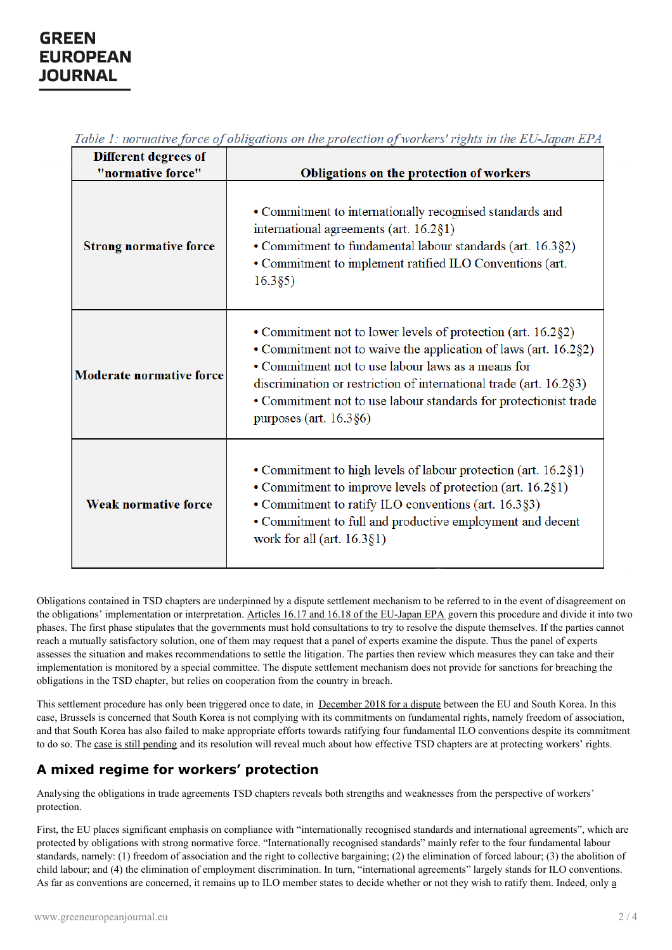| Different degrees of            |                                                                                                                                                                                                                                                                                                                                                           |
|---------------------------------|-----------------------------------------------------------------------------------------------------------------------------------------------------------------------------------------------------------------------------------------------------------------------------------------------------------------------------------------------------------|
| "normative force"               | Obligations on the protection of workers                                                                                                                                                                                                                                                                                                                  |
| <b>Strong normative force</b>   | • Commitment to internationally recognised standards and<br>international agreements (art. 16.2§1)<br>• Commitment to fundamental labour standards (art. 16.3§2)<br>• Commitment to implement ratified ILO Conventions (art.<br>16.385)                                                                                                                   |
| <b>Moderate normative force</b> | • Commitment not to lower levels of protection (art. 16.2§2)<br>• Commitment not to waive the application of laws (art. 16.2§2)<br>• Commitment not to use labour laws as a means for<br>discrimination or restriction of international trade (art. 16.2§3)<br>• Commitment not to use labour standards for protectionist trade<br>purposes (art. 16.3§6) |
| <b>Weak normative force</b>     | • Commitment to high levels of labour protection (art. 16.2§1)<br>• Commitment to improve levels of protection (art. 16.2§1)<br>• Commitment to ratify ILO conventions (art. 16.3§3)<br>• Commitment to full and productive employment and decent<br>work for all (art. $16.3$ §1)                                                                        |

Table 1: normative force of obligations on the protection of workers' rights in the EU-Japan EPA

Obligations contained in TSD chapters are underpinned by a dispute settlement mechanism to be referred to in the event of disagreement on the obligations' implementation or interpretation. Articles 16.17 and 16.18 of the [EU-Japan](https://eur-lex.europa.eu/legal-content/FR/TXT/?uri=CELEX:52018PC0192#document2) EPA govern this procedure and divide it into two phases. The first phase stipulates that the governments must hold consultations to try to resolve the dispute themselves. If the parties cannot reach a mutually satisfactory solution, one of them may request that a panel of experts examine the dispute. Thus the panel of experts assesses the situation and makes recommendations to settle the litigation. The parties then review which measures they can take and their implementation is monitored by a special committee. The dispute settlement mechanism does not provide for sanctions for breaching the obligations in the TSD chapter, but relies on cooperation from the country in breach.

This settlement procedure has only been triggered once to date, in [December](https://www.lemonde.fr/idees/article/2019/01/08/accord-ue-coree-du-sud-bruxelles-enclenche-une-procedure-de-protection-des-travailleurs_5406117_3232.html) 2018 for a dispute between the EU and South Korea. In this case, Brussels is concerned that South Korea is not complying with its commitments on fundamental rights, namely freedom of association, and that South Korea has also failed to make appropriate efforts towards ratifying four fundamental ILO conventions despite its commitment to do so. The case is still [pending](http://international-litigation-blog.com/compliance-with-labour-obligations-under-eu-korea-fta/) and its resolution will reveal much about how effective TSD chapters are at protecting workers' rights.

### **A mixed regime for workers' protection**

Analysing the [obligations](https://www.greeneuropeanjournal.eu) in trade agreements TSD chapters reveals both strengths and weaknesses from the perspective of workers' protection.

First, the EU places significant emphasis on compliance with "internationally recognised standards and international agreements", which are protected by obligations with strong normative force. "Internationally recognised standards" mainly refer to the four fundamental labour standards, namely: (1) freedom of association and the right to collective bargaining; (2) the elimination of forced labour; (3) the abolition of child labour; and (4) the elimination of employment discrimination. In turn, "international agreements" largely stands for ILO conventions. As far as [conventions](https://www.ilo.org/dyn/normlex/fr/f?p=1000:11001:::NO:::) are concerned, it remains up to ILO member states to decide whether or not they wish to ratify them. Indeed, only a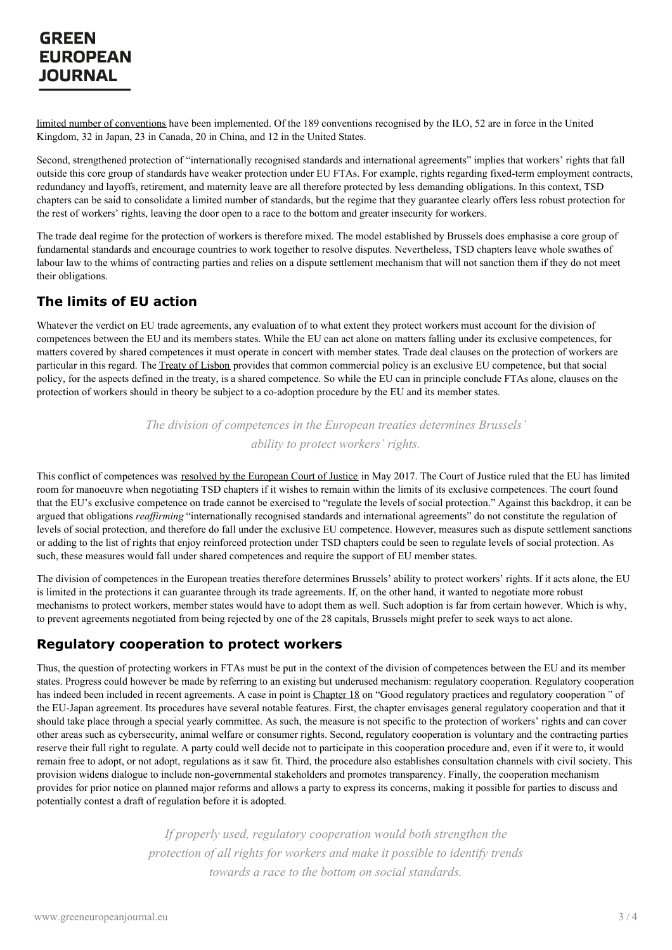limited number of conventions have been implemented. Of the 189 conventions recognised by the ILO, 52 are in force in the United Kingdom, 32 in Japan, 23 in Canada, 20 in China, and 12 in the United States.

Second, strengthened protection of "internationally recognised standards and international agreements" implies that workers' rights that fall outside this core group of standards have weaker protection under EU FTAs. For example, rights regarding fixed-term employment contracts, redundancy and layoffs, retirement, and maternity leave are all therefore protected by less demanding obligations. In this context, TSD chapters can be said to consolidate a limited number of standards, but the regime that they guarantee clearly offers less robust protection for the rest of workers' rights, leaving the door open to a race to the bottom and greater insecurity for workers.

The trade deal regime for the protection of workers is therefore mixed. The model established by Brussels does emphasise a core group of fundamental standards and encourage countries to work together to resolve disputes. Nevertheless, TSD chapters leave whole swathes of labour law to the whims of contracting parties and relies on a dispute settlement mechanism that will not sanction them if they do not meet their obligations.

### **The limits of EU action**

Whatever the verdict on EU trade agreements, any evaluation of to what extent they protect workers must account for the division of competences between the EU and its members states. While the EU can act alone on matters falling under its exclusive competences, for matters covered by shared competences it must operate in concert with member states. Trade deal clauses on the protection of workers are particular in this regard. The Treaty of [Lisbon](https://eur-lex.europa.eu/legal-content/EN/TXT/?uri=CELEX%253A12007L%252FTXT) provides that common commercial policy is an exclusive EU competence, but that social policy, for the aspects defined in the treaty, is a shared competence. So while the EU can in principle conclude FTAs alone, clauses on the protection of workers should in theory be subject to a co-adoption procedure by the EU and its member states.

> *The division of competences in the European treaties determines Brussels' ability to protect workers' rights.*

This conflict of competences was resolved by the [European](http://curia.europa.eu/juris/document/document.jsf?text=&docid=190727&doclang=EN) Court of Justice in May 2017. The Court of Justice ruled that the EU has limited room for manoeuvre when negotiating TSD chapters if it wishes to remain within the limits of its exclusive competences. The court found that the EU's exclusive competence on trade cannot be exercised to "regulate the levels of social protection." Against this backdrop, it can be argued that obligations *reaffirming* "internationally recognised standards and international agreements" do not constitute the regulation of levels of social protection, and therefore do fall under the exclusive EU competence. However, measures such as dispute settlement sanctions or adding to the list of rights that enjoy reinforced protection under TSD chapters could be seen to regulate levels of social protection. As such, these measures would fall under shared competences and require the support of EU member states.

The division of competences in the European treaties therefore determines Brussels' ability to protect workers' rights. If it acts alone, the EU is limited in the protections it can guarantee through its trade agreements. If, on the other hand, it wanted to negotiate more robust mechanisms to protect workers, member states would have to adopt them as well. Such adoption is far from certain however. Which is why, to prevent agreements negotiated from being rejected by one of the 28 capitals, Brussels might prefer to seek ways to act alone.

#### **Regulatory cooperation to protect workers**

Thus, the question of protecting workers in FTAs must be put in the context of the division of competences between the EU and its member states. Progress could however be made by referring to an existing but underused mechanism: regulatory cooperation. Regulatory cooperation has indeed been included in recent agreements. A case in point is [Chapter](https://eur-lex.europa.eu/legal-content/FR/TXT/?uri=CELEX:52018PC0192#document2) 18 on "Good regulatory practices and regulatory cooperation*"* of the EU-Japan agreement. Its procedures have several notable features. First, the chapter envisages general regulatory cooperation and that it should take place through a special yearly committee. As such, the measure is not specific to the protection of workers' rights and can cover other areas such as cybersecurity, animal welfare or consumer rights. Second, regulatory cooperation is voluntary and the contracting parties reserve their full right to regulate. A party could well decide not to participate in this cooperation procedure and, even if it were to, it would remain free to adopt, or not adopt, regulations as it saw fit. Third, the procedure also establishes consultation channels with civil society. This provision widens dialogue to include non-governmental stakeholders and promotes transparency. Finally, the cooperation mechanism provides for prior notice on planned major reforms and allows a party to express its concerns, making it possible for parties to discuss and [potentially](https://www.greeneuropeanjournal.eu) contest a draft of regulation before it is adopted.

> *If properly used, regulatory cooperation would both strengthen the protection of all rights for workers and make it possible to identify trends towards a race to the bottom on social standards.*